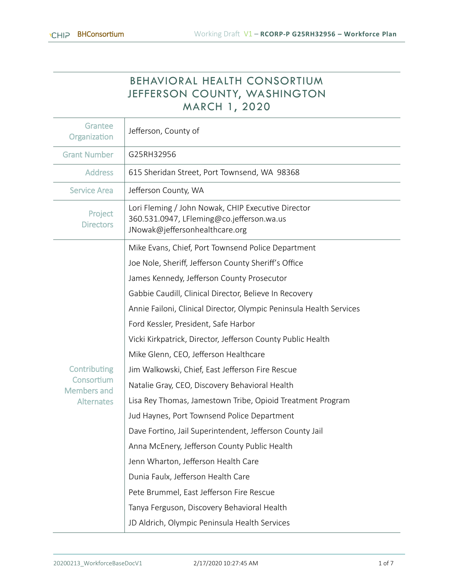Т

# BEHAVIORAL HEALTH CONSORTIUM JEFFERSON COUNTY, WASHINGTON MARCH 1, 2020

| Grantee<br>Organization          | Jefferson, County of                                                                                                              |  |  |  |  |  |
|----------------------------------|-----------------------------------------------------------------------------------------------------------------------------------|--|--|--|--|--|
| <b>Grant Number</b>              | G25RH32956                                                                                                                        |  |  |  |  |  |
| <b>Address</b>                   | 615 Sheridan Street, Port Townsend, WA 98368                                                                                      |  |  |  |  |  |
| <b>Service Area</b>              | Jefferson County, WA                                                                                                              |  |  |  |  |  |
| Project<br><b>Directors</b>      | Lori Fleming / John Nowak, CHIP Executive Director<br>360.531.0947, LFleming@co.jefferson.wa.us<br>JNowak@jeffersonhealthcare.org |  |  |  |  |  |
|                                  | Mike Evans, Chief, Port Townsend Police Department                                                                                |  |  |  |  |  |
|                                  | Joe Nole, Sheriff, Jefferson County Sheriff's Office                                                                              |  |  |  |  |  |
|                                  | James Kennedy, Jefferson County Prosecutor                                                                                        |  |  |  |  |  |
|                                  | Gabbie Caudill, Clinical Director, Believe In Recovery                                                                            |  |  |  |  |  |
|                                  | Annie Failoni, Clinical Director, Olympic Peninsula Health Services                                                               |  |  |  |  |  |
|                                  | Ford Kessler, President, Safe Harbor                                                                                              |  |  |  |  |  |
|                                  | Vicki Kirkpatrick, Director, Jefferson County Public Health                                                                       |  |  |  |  |  |
|                                  | Mike Glenn, CEO, Jefferson Healthcare                                                                                             |  |  |  |  |  |
| Contributing                     | Jim Walkowski, Chief, East Jefferson Fire Rescue                                                                                  |  |  |  |  |  |
| Consortium<br><b>Members and</b> | Natalie Gray, CEO, Discovery Behavioral Health                                                                                    |  |  |  |  |  |
| <b>Alternates</b>                | Lisa Rey Thomas, Jamestown Tribe, Opioid Treatment Program                                                                        |  |  |  |  |  |
|                                  | Jud Haynes, Port Townsend Police Department                                                                                       |  |  |  |  |  |
|                                  | Dave Fortino, Jail Superintendent, Jefferson County Jail                                                                          |  |  |  |  |  |
|                                  | Anna McEnery, Jefferson County Public Health                                                                                      |  |  |  |  |  |
|                                  | Jenn Wharton, Jefferson Health Care                                                                                               |  |  |  |  |  |
|                                  | Dunia Faulx, Jefferson Health Care                                                                                                |  |  |  |  |  |
|                                  | Pete Brummel, East Jefferson Fire Rescue                                                                                          |  |  |  |  |  |
|                                  | Tanya Ferguson, Discovery Behavioral Health                                                                                       |  |  |  |  |  |
|                                  | JD Aldrich, Olympic Peninsula Health Services                                                                                     |  |  |  |  |  |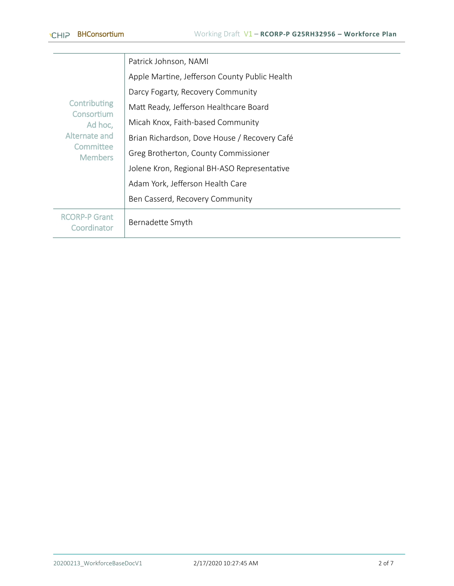|                                                                                              | Patrick Johnson, NAMI                         |
|----------------------------------------------------------------------------------------------|-----------------------------------------------|
| Contributing<br>Consortium<br>Ad hoc,<br>Alternate and<br><b>Committee</b><br><b>Members</b> | Apple Martine, Jefferson County Public Health |
|                                                                                              | Darcy Fogarty, Recovery Community             |
|                                                                                              | Matt Ready, Jefferson Healthcare Board        |
|                                                                                              | Micah Knox, Faith-based Community             |
|                                                                                              | Brian Richardson, Dove House / Recovery Café  |
|                                                                                              | Greg Brotherton, County Commissioner          |
|                                                                                              | Jolene Kron, Regional BH-ASO Representative   |
|                                                                                              | Adam York, Jefferson Health Care              |
|                                                                                              | Ben Casserd, Recovery Community               |
| <b>RCORP-P Grant</b><br>Coordinator                                                          | Bernadette Smyth                              |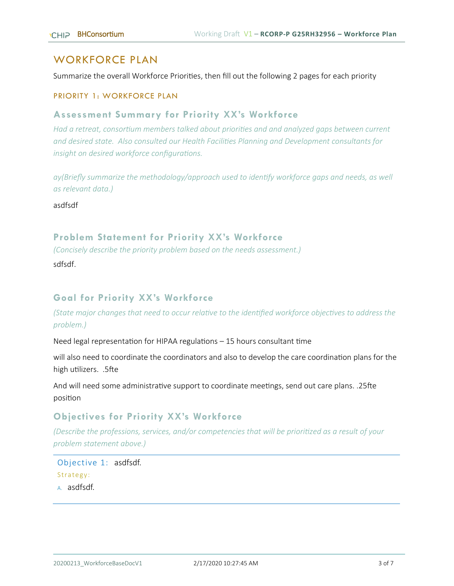### WORKFORCE PLAN

Summarize the overall Workforce Priorities, then fill out the following 2 pages for each priority

#### PRIORITY 1: WORKFORCE PLAN

#### **Assessment Summary for Priority XX's Workforce**

*Had a retreat, consortium members talked about priorities and and analyzed gaps between current and desired state. Also consulted our Health Facilities Planning and Development consultants for insight on desired workforce configurations.*

*ay(Briefly summarize the methodology/approach used to identify workforce gaps and needs, as well as relevant data.)*

asdfsdf

#### **Problem Statement for Priority XX's Workforce**

*(Concisely describe the priority problem based on the needs assessment.)* 

sdfsdf.

### **Goal for Priority XX's Workforce**

*(State major changes that need to occur relative to the identified workforce objectives to address the problem.)* 

Need legal representation for HIPAA regulations – 15 hours consultant time

will also need to coordinate the coordinators and also to develop the care coordination plans for the high utilizers. .5fte

And will need some administrative support to coordinate meetings, send out care plans. .25fte position

#### **Objectives for Priority XX's Workforce**

*(Describe the professions, services, and/or competencies that will be prioritized as a result of your problem statement above.)*

#### Objective 1: asdfsdf. Strategy: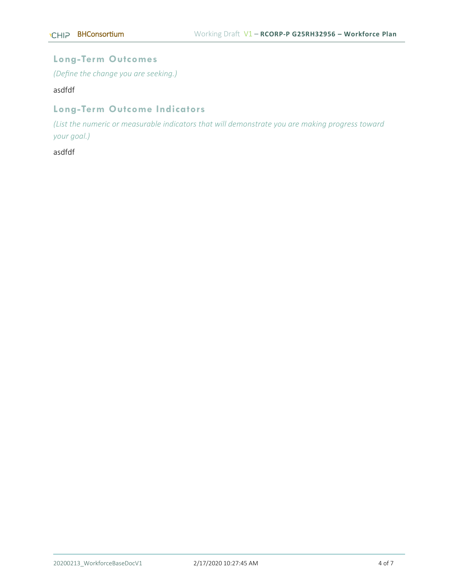### **Long-Term Outcomes**

*(Define the change you are seeking.)*

asdfdf

## **Long-Term Outcome Indicators**

*(List the numeric or measurable indicators that will demonstrate you are making progress toward your goal.)* 

asdfdf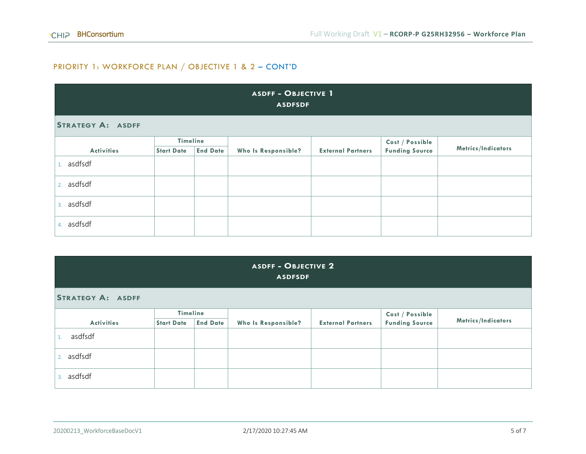### PRIORITY 1: WORKFORCE PLAN / OBJECTIVE 1 & 2 – CONT'D

| <b>ASDFF - OBJECTIVE 1</b><br><b>ASDFSDF</b> |                   |                 |                     |                          |                       |                    |  |  |  |
|----------------------------------------------|-------------------|-----------------|---------------------|--------------------------|-----------------------|--------------------|--|--|--|
| <b>STRATEGY A: ASDFF</b>                     |                   |                 |                     |                          |                       |                    |  |  |  |
|                                              | Timeline          |                 |                     |                          | Cost / Possible       |                    |  |  |  |
| <b>Activities</b>                            | <b>Start Date</b> | <b>End Date</b> | Who Is Responsible? | <b>External Partners</b> | <b>Funding Source</b> | Metrics/Indicators |  |  |  |
| 1. asdfsdf                                   |                   |                 |                     |                          |                       |                    |  |  |  |
| 2. asdfsdf                                   |                   |                 |                     |                          |                       |                    |  |  |  |
| 3. asdfsdf                                   |                   |                 |                     |                          |                       |                    |  |  |  |
| 4. asdfsdf                                   |                   |                 |                     |                          |                       |                    |  |  |  |

#### **ASDFF - OBJECTIVE 2 ASDFSDF**

**STRATEGY A: ASDFF**

| <b>Activities</b> | <b>Timeline</b><br><b>End Date</b><br><b>Start Date</b> |  | Who Is Responsible? | <b>External Partners</b> | <b>Cost / Possible<br/>Funding Source</b> | Metrics/Indicators |
|-------------------|---------------------------------------------------------|--|---------------------|--------------------------|-------------------------------------------|--------------------|
| asdfsdf           |                                                         |  |                     |                          |                                           |                    |
| 2. asdfsdf        |                                                         |  |                     |                          |                                           |                    |
| asdfsdf           |                                                         |  |                     |                          |                                           |                    |